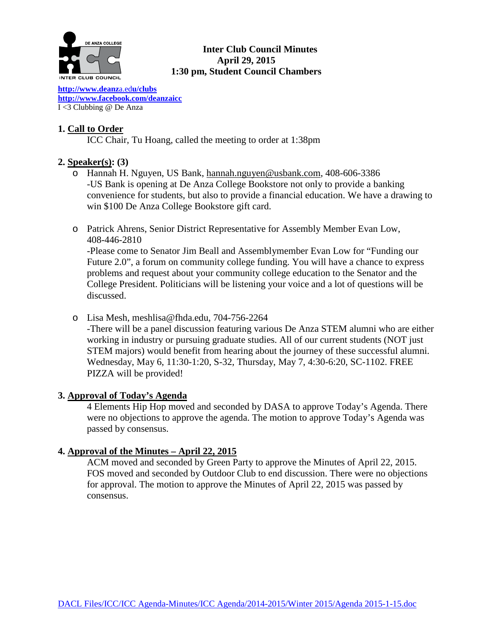

## **Inter Club Council Minutes April 29, 2015 1:30 pm, Student Council Chambers**

**[http://www.deanz](http://www.deanza.edu/clubs)**a.ed**u/clubs [http://www.facebook.com/deanzaicc](http://www.facebook.com/home.php%23!/group.php?gid=59034552686)** I <3 Clubbing @ De Anza

## **1. Call to Order**

ICC Chair, Tu Hoang, called the meeting to order at 1:38pm

## **2. Speaker(s): (3)**

- o Hannah H. Nguyen, US Bank, [hannah.nguyen@usbank.com,](mailto:hannah.nguyen@usbank.com) 408-606-3386 -US Bank is opening at De Anza College Bookstore not only to provide a banking convenience for students, but also to provide a financial education. We have a drawing to win \$100 De Anza College Bookstore gift card.
- o Patrick Ahrens, Senior District Representative for Assembly Member Evan Low, 408-446-2810

-Please come to Senator Jim Beall and Assemblymember Evan Low for "Funding our Future 2.0", a forum on community college funding. You will have a chance to express problems and request about your community college education to the Senator and the College President. Politicians will be listening your voice and a lot of questions will be discussed.

o Lisa Mesh, meshlisa@fhda.edu, 704-756-2264

-There will be a panel discussion featuring various De Anza STEM alumni who are either working in industry or pursuing graduate studies. All of our current students (NOT just STEM majors) would benefit from hearing about the journey of these successful alumni. Wednesday, May 6, 11:30-1:20, S-32, Thursday, May 7, 4:30-6:20, SC-1102. FREE PIZZA will be provided!

## **3. Approval of Today's Agenda**

4 Elements Hip Hop moved and seconded by DASA to approve Today's Agenda. There were no objections to approve the agenda. The motion to approve Today's Agenda was passed by consensus.

## **4. Approval of the Minutes – April 22, 2015**

ACM moved and seconded by Green Party to approve the Minutes of April 22, 2015. FOS moved and seconded by Outdoor Club to end discussion. There were no objections for approval. The motion to approve the Minutes of April 22, 2015 was passed by consensus.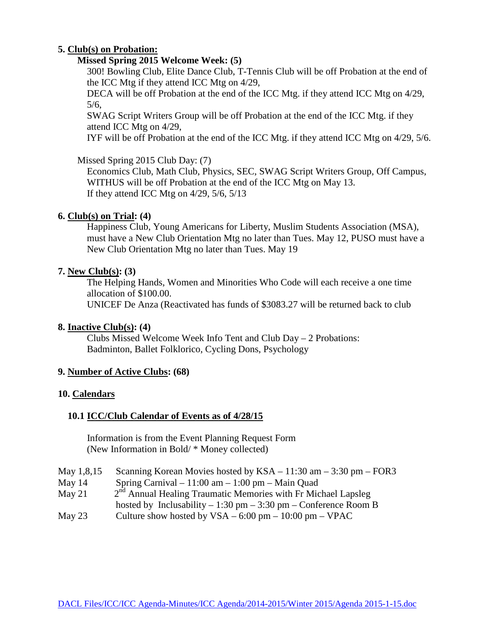## **5. Club(s) on Probation:**

### **Missed Spring 2015 Welcome Week: (5)**

300! Bowling Club, Elite Dance Club, T-Tennis Club will be off Probation at the end of the ICC Mtg if they attend ICC Mtg on 4/29,

DECA will be off Probation at the end of the ICC Mtg. if they attend ICC Mtg on 4/29, 5/6,

SWAG Script Writers Group will be off Probation at the end of the ICC Mtg. if they attend ICC Mtg on 4/29,

IYF will be off Probation at the end of the ICC Mtg. if they attend ICC Mtg on 4/29, 5/6.

## Missed Spring 2015 Club Day: (7)

Economics Club, Math Club, Physics, SEC, SWAG Script Writers Group, Off Campus, WITHUS will be off Probation at the end of the ICC Mtg on May 13. If they attend ICC Mtg on  $4/29$ ,  $5/6$ ,  $5/13$ 

## **6. Club(s) on Trial: (4)**

Happiness Club, Young Americans for Liberty, Muslim Students Association (MSA), must have a New Club Orientation Mtg no later than Tues. May 12, PUSO must have a New Club Orientation Mtg no later than Tues. May 19

### **7. New Club(s): (3)**

The Helping Hands, Women and Minorities Who Code will each receive a one time allocation of \$100.00.

UNICEF De Anza (Reactivated has funds of \$3083.27 will be returned back to club

### **8. Inactive Club(s): (4)**

Clubs Missed Welcome Week Info Tent and Club Day – 2 Probations: Badminton, Ballet Folklorico, Cycling Dons, Psychology

### **9. Number of Active Clubs: (68)**

### **10. Calendars**

## **10.1 ICC/Club Calendar of Events as of 4/28/15**

 Information is from the Event Planning Request Form (New Information in Bold/ \* Money collected)

- May 1,8,15 Scanning Korean Movies hosted by KSA 11:30 am 3:30 pm FOR3
- May 14 Spring Carnival 11:00 am 1:00 pm Main Quad
- May 21  $2^{nd}$  Annual Healing Traumatic Memories with Fr Michael Lapsleg hosted by Inclusability – 1:30 pm – 3:30 pm – Conference Room B
- May 23 Culture show hosted by  $VSA 6:00 \text{ pm} 10:00 \text{ pm} \text{VPAC}$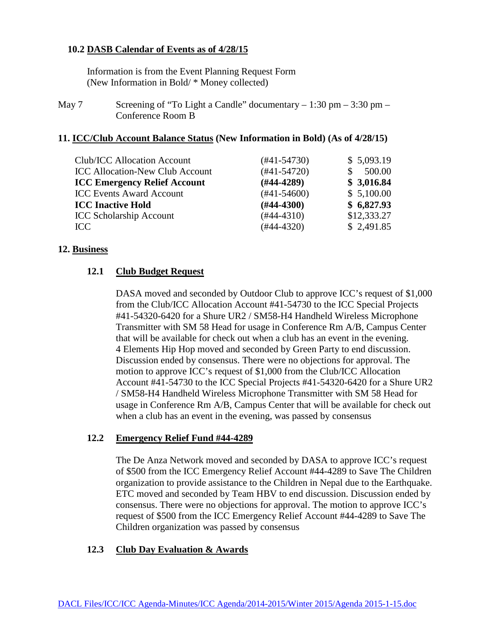## **10.2 DASB Calendar of Events as of 4/28/15**

Information is from the Event Planning Request Form (New Information in Bold/ \* Money collected)

May 7 Screening of "To Light a Candle" documentary  $-1:30 \text{ pm} - 3:30 \text{ pm} -$ Conference Room B

### **11. ICC/Club Account Balance Status (New Information in Bold) (As of 4/28/15)**

| Club/ICC Allocation Account            | (#41-54730)      | \$5,093.19  |
|----------------------------------------|------------------|-------------|
|                                        |                  |             |
| <b>ICC Allocation-New Club Account</b> | $(#41-54720)$    | 500.00      |
| <b>ICC Emergency Relief Account</b>    | $(#44-4289)$     | \$3,016.84  |
| <b>ICC Events Award Account</b>        | $(\#41 - 54600)$ | \$5,100.00  |
| <b>ICC Inactive Hold</b>               | $(\#44 - 4300)$  | \$6,827.93  |
| <b>ICC Scholarship Account</b>         | $(\#44 - 4310)$  | \$12,333.27 |
| ICC.                                   | $(#44-4320)$     | \$2,491.85  |
|                                        |                  |             |

#### **12. Business**

## **12.1 Club Budget Request**

DASA moved and seconded by Outdoor Club to approve ICC's request of \$1,000 from the Club/ICC Allocation Account #41-54730 to the ICC Special Projects #41-54320-6420 for a Shure UR2 / SM58-H4 Handheld Wireless Microphone Transmitter with SM 58 Head for usage in Conference Rm A/B, Campus Center that will be available for check out when a club has an event in the evening. 4 Elements Hip Hop moved and seconded by Green Party to end discussion. Discussion ended by consensus. There were no objections for approval. The motion to approve ICC's request of \$1,000 from the Club/ICC Allocation Account #41-54730 to the ICC Special Projects #41-54320-6420 for a Shure UR2 / SM58-H4 Handheld Wireless Microphone Transmitter with SM 58 Head for usage in Conference Rm A/B, Campus Center that will be available for check out when a club has an event in the evening, was passed by consensus

### **12.2 Emergency Relief Fund #44-4289**

The De Anza Network moved and seconded by DASA to approve ICC's request of \$500 from the ICC Emergency Relief Account #44-4289 to Save The Children organization to provide assistance to the Children in Nepal due to the Earthquake. ETC moved and seconded by Team HBV to end discussion. Discussion ended by consensus. There were no objections for approval. The motion to approve ICC's request of \$500 from the ICC Emergency Relief Account #44-4289 to Save The Children organization was passed by consensus

### **12.3 Club Day Evaluation & Awards**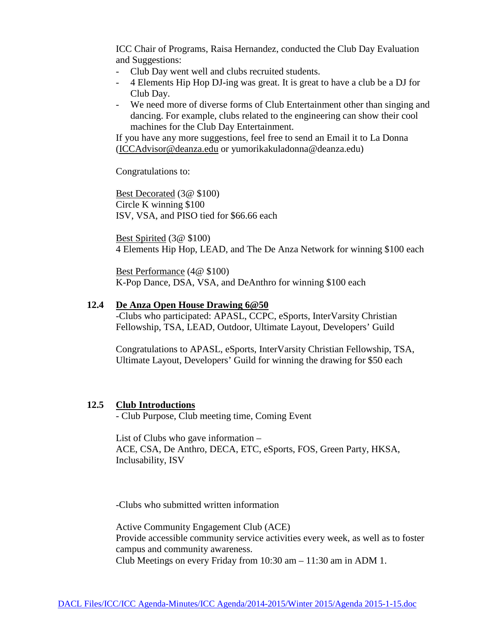ICC Chair of Programs, Raisa Hernandez, conducted the Club Day Evaluation and Suggestions:

- Club Day went well and clubs recruited students.
- 4 Elements Hip Hop DJ-ing was great. It is great to have a club be a DJ for Club Day.
- We need more of diverse forms of Club Entertainment other than singing and dancing. For example, clubs related to the engineering can show their cool machines for the Club Day Entertainment.

If you have any more suggestions, feel free to send an Email it to La Donna [\(ICCAdvisor@deanza.edu](mailto:ICCAdvisor@deanza.edu) or yumorikakuladonna@deanza.edu)

Congratulations to:

Best Decorated (3@ \$100) Circle K winning \$100 ISV, VSA, and PISO tied for \$66.66 each

Best Spirited (3@ \$100) 4 Elements Hip Hop, LEAD, and The De Anza Network for winning \$100 each

Best Performance (4@ \$100) K-Pop Dance, DSA, VSA, and DeAnthro for winning \$100 each

### **12.4 De Anza Open House Drawing 6@50**

-Clubs who participated: APASL, CCPC, eSports, InterVarsity Christian Fellowship, TSA, LEAD, Outdoor, Ultimate Layout, Developers' Guild

Congratulations to APASL, eSports, InterVarsity Christian Fellowship, TSA, Ultimate Layout, Developers' Guild for winning the drawing for \$50 each

### **12.5 Club Introductions**

- Club Purpose, Club meeting time, Coming Event

List of Clubs who gave information – ACE, CSA, De Anthro, DECA, ETC, eSports, FOS, Green Party, HKSA, Inclusability, ISV

-Clubs who submitted written information

Active Community Engagement Club (ACE) Provide accessible community service activities every week, as well as to foster campus and community awareness. Club Meetings on every Friday from 10:30 am – 11:30 am in ADM 1.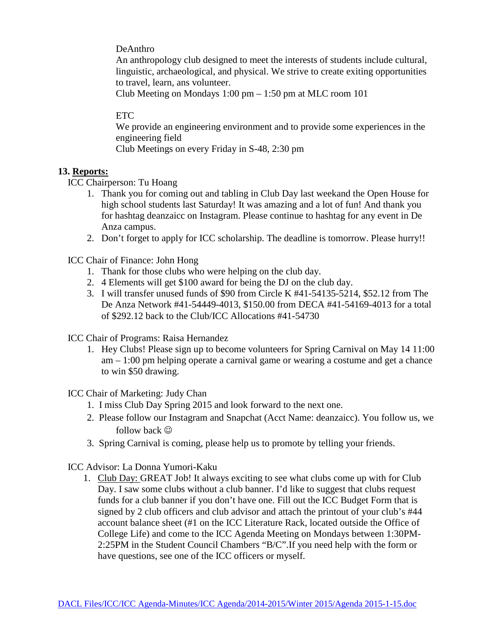DeAnthro

An anthropology club designed to meet the interests of students include cultural, linguistic, archaeological, and physical. We strive to create exiting opportunities to travel, learn, ans volunteer.

Club Meeting on Mondays 1:00 pm – 1:50 pm at MLC room 101

## ETC

We provide an engineering environment and to provide some experiences in the engineering field

Club Meetings on every Friday in S-48, 2:30 pm

## **13. Reports:**

ICC Chairperson: Tu Hoang

- 1. Thank you for coming out and tabling in Club Day last weekand the Open House for high school students last Saturday! It was amazing and a lot of fun! And thank you for hashtag deanzaicc on Instagram. Please continue to hashtag for any event in De Anza campus.
- 2. Don't forget to apply for ICC scholarship. The deadline is tomorrow. Please hurry!!

ICC Chair of Finance: John Hong

- 1. Thank for those clubs who were helping on the club day.
- 2. 4 Elements will get \$100 award for being the DJ on the club day.
- 3. I will transfer unused funds of \$90 from Circle K #41-54135-5214, \$52.12 from The De Anza Network #41-54449-4013, \$150.00 from DECA #41-54169-4013 for a total of \$292.12 back to the Club/ICC Allocations #41-54730

ICC Chair of Programs: Raisa Hernandez

1. Hey Clubs! Please sign up to become volunteers for Spring Carnival on May 14 11:00 am – 1:00 pm helping operate a carnival game or wearing a costume and get a chance to win \$50 drawing.

ICC Chair of Marketing: Judy Chan

- 1. I miss Club Day Spring 2015 and look forward to the next one.
- 2. Please follow our Instagram and Snapchat (Acct Name: deanzaicc). You follow us, we follow back  $\odot$
- 3. Spring Carnival is coming, please help us to promote by telling your friends.

ICC Advisor: La Donna Yumori-Kaku

1. Club Day: GREAT Job! It always exciting to see what clubs come up with for Club Day. I saw some clubs without a club banner. I'd like to suggest that clubs request funds for a club banner if you don't have one. Fill out the ICC Budget Form that is signed by 2 club officers and club advisor and attach the printout of your club's #44 account balance sheet (#1 on the ICC Literature Rack, located outside the Office of College Life) and come to the ICC Agenda Meeting on Mondays between 1:30PM-2:25PM in the Student Council Chambers "B/C".If you need help with the form or have questions, see one of the ICC officers or myself.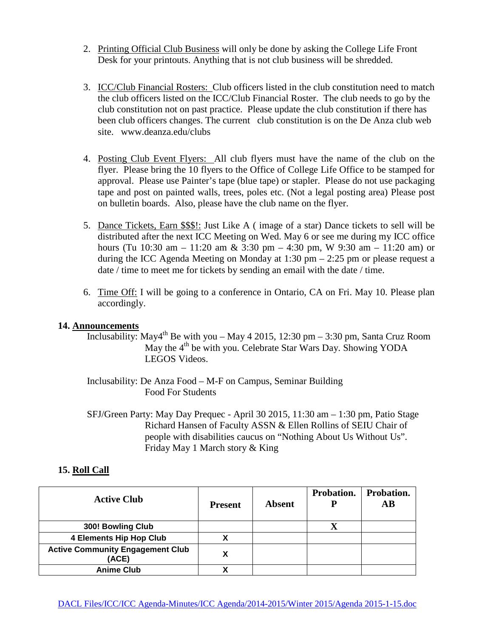- 2. Printing Official Club Business will only be done by asking the College Life Front Desk for your printouts. Anything that is not club business will be shredded.
- 3. ICC/Club Financial Rosters: Club officers listed in the club constitution need to match the club officers listed on the ICC/Club Financial Roster. The club needs to go by the club constitution not on past practice. Please update the club constitution if there has been club officers changes. The current club constitution is on the De Anza club web site. www.deanza.edu/clubs
- 4. Posting Club Event Flyers: All club flyers must have the name of the club on the flyer. Please bring the 10 flyers to the Office of College Life Office to be stamped for approval. Please use Painter's tape (blue tape) or stapler. Please do not use packaging tape and post on painted walls, trees, poles etc. (Not a legal posting area) Please post on bulletin boards. Also, please have the club name on the flyer.
- 5. Dance Tickets, Earn \$\$\$!: Just Like A ( image of a star) Dance tickets to sell will be distributed after the next ICC Meeting on Wed. May 6 or see me during my ICC office hours (Tu 10:30 am – 11:20 am & 3:30 pm – 4:30 pm, W 9:30 am – 11:20 am) or during the ICC Agenda Meeting on Monday at 1:30 pm – 2:25 pm or please request a date / time to meet me for tickets by sending an email with the date / time.
- 6. Time Off: I will be going to a conference in Ontario, CA on Fri. May 10. Please plan accordingly.

## **14. Announcements**

- Inclusability: May4<sup>th</sup> Be with you May 4 2015, 12:30 pm 3:30 pm, Santa Cruz Room May the 4<sup>th</sup> be with you. Celebrate Star Wars Day. Showing YODA LEGOS Videos.
- Inclusability: De Anza Food M-F on Campus, Seminar Building Food For Students
- SFJ/Green Party: May Day Prequec April 30 2015, 11:30 am 1:30 pm, Patio Stage Richard Hansen of Faculty ASSN & Ellen Rollins of SEIU Chair of people with disabilities caucus on "Nothing About Us Without Us". Friday May 1 March story & King

## **15. Roll Call**

| <b>Active Club</b>                               | <b>Present</b> | Absent | Probation.<br>Р | Probation.<br>$\mathbf{A}\mathbf{B}$ |
|--------------------------------------------------|----------------|--------|-----------------|--------------------------------------|
| 300! Bowling Club                                |                |        | Δ               |                                      |
| <b>4 Elements Hip Hop Club</b>                   |                |        |                 |                                      |
| <b>Active Community Engagement Club</b><br>(ACE) |                |        |                 |                                      |
| <b>Anime Club</b>                                |                |        |                 |                                      |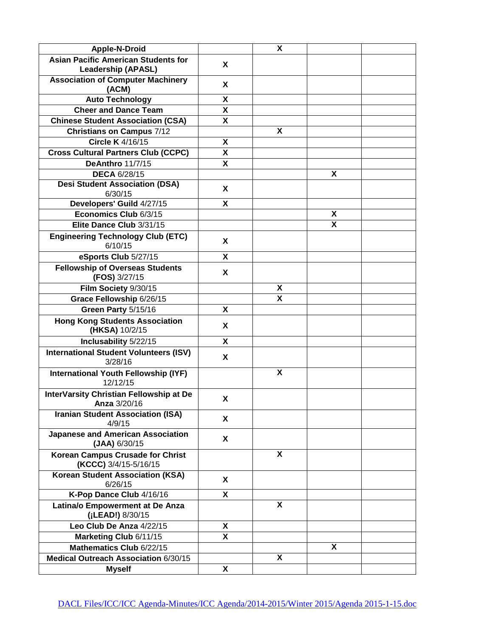| Apple-N-Droid                                                  |                           | $\pmb{\mathsf{X}}$      |   |  |
|----------------------------------------------------------------|---------------------------|-------------------------|---|--|
| <b>Asian Pacific American Students for</b>                     |                           |                         |   |  |
| <b>Leadership (APASL)</b>                                      | X                         |                         |   |  |
| <b>Association of Computer Machinery</b><br>(ACM)              | X                         |                         |   |  |
| <b>Auto Technology</b>                                         | X                         |                         |   |  |
| <b>Cheer and Dance Team</b>                                    | $\mathbf x$               |                         |   |  |
| <b>Chinese Student Association (CSA)</b>                       | X                         |                         |   |  |
| <b>Christians on Campus 7/12</b>                               |                           | X                       |   |  |
| Circle K 4/16/15                                               | X                         |                         |   |  |
| <b>Cross Cultural Partners Club (CCPC)</b>                     | $\boldsymbol{\mathsf{X}}$ |                         |   |  |
| <b>DeAnthro 11/7/15</b>                                        | $\boldsymbol{\mathsf{X}}$ |                         |   |  |
| <b>DECA 6/28/15</b>                                            |                           |                         | X |  |
| <b>Desi Student Association (DSA)</b><br>6/30/15               | X                         |                         |   |  |
| Developers' Guild 4/27/15                                      | X                         |                         |   |  |
| Economics Club 6/3/15                                          |                           |                         | X |  |
| Elite Dance Club 3/31/15                                       |                           |                         | X |  |
| <b>Engineering Technology Club (ETC)</b><br>6/10/15            | X                         |                         |   |  |
| eSports Club 5/27/15                                           | X                         |                         |   |  |
| <b>Fellowship of Overseas Students</b><br>(FOS) 3/27/15        | X                         |                         |   |  |
| Film Society 9/30/15                                           |                           | X                       |   |  |
| Grace Fellowship 6/26/15                                       |                           | $\overline{\mathbf{x}}$ |   |  |
| Green Party 5/15/16                                            | X                         |                         |   |  |
| <b>Hong Kong Students Association</b><br>(HKSA) 10/2/15        | X                         |                         |   |  |
| Inclusability 5/22/15                                          | X                         |                         |   |  |
| <b>International Student Volunteers (ISV)</b><br>3/28/16       | X                         |                         |   |  |
| <b>International Youth Fellowship (IYF)</b><br>12/12/15        |                           | X                       |   |  |
| InterVarsity Christian Fellowship at De<br><b>Anza</b> 3/20/16 | X                         |                         |   |  |
| <b>Iranian Student Association (ISA)</b><br>4/9/15             | X                         |                         |   |  |
| <b>Japanese and American Association</b><br>$(JAA)$ 6/30/15    | X                         |                         |   |  |
| Korean Campus Crusade for Christ<br>(KCCC) 3/4/15-5/16/15      |                           | X                       |   |  |
| <b>Korean Student Association (KSA)</b><br>6/26/15             | X                         |                         |   |  |
| K-Pop Dance Club 4/16/16                                       | X                         |                         |   |  |
| Latina/o Empowerment at De Anza<br>(¡LEAD!) 8/30/15            |                           | X                       |   |  |
| Leo Club De Anza 4/22/15                                       | X                         |                         |   |  |
| Marketing Club 6/11/15                                         | X                         |                         |   |  |
| Mathematics Club 6/22/15                                       |                           |                         | X |  |
| Medical Outreach Association 6/30/15                           |                           | X                       |   |  |
| <b>Myself</b>                                                  | X                         |                         |   |  |